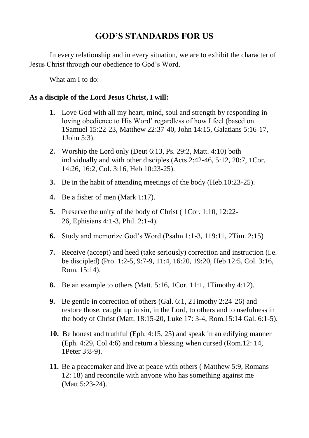# **GOD'S STANDARDS FOR US**

In every relationship and in every situation, we are to exhibit the character of Jesus Christ through our obedience to God's Word.

What am I to do:

## **As a disciple of the Lord Jesus Christ, I will:**

- **1.** Love God with all my heart, mind, soul and strength by responding in loving obedience to His Word' regardless of how I feel (based on 1Samuel 15:22-23, Matthew 22:37-40, John 14:15, Galatians 5:16-17, 1John 5:3).
- **2.** Worship the Lord only (Deut 6:13, Ps. 29:2, Matt. 4:10) both individually and with other disciples (Acts 2:42-46, 5:12, 20:7, 1Cor. 14:26, 16:2, Col. 3:16, Heb 10:23-25).
- **3.** Be in the habit of attending meetings of the body (Heb.10:23-25).
- **4.** Be a fisher of men (Mark 1:17).
- **5.** Preserve the unity of the body of Christ ( 1Cor. 1:10, 12:22- 26, Ephisians 4:1-3, Phil. 2:1-4).
- **6.** Study and memorize God's Word (Psalm 1:1-3, 119:11, 2Tim. 2:15)
- **7.** Receive (accept) and heed (take seriously) correction and instruction (i.e. be discipled) (Pro. 1:2-5, 9:7-9, 11:4, 16:20, 19:20, Heb 12:5, Col. 3:16, Rom. 15:14).
- **8.** Be an example to others (Matt. 5:16, 1Cor. 11:1, 1Timothy 4:12).
- **9.** Be gentle in correction of others (Gal. 6:1, 2Timothy 2:24-26) and restore those, caught up in sin, in the Lord, to others and to usefulness in the body of Christ (Matt. 18:15-20, Luke 17: 3-4, Rom.15:14 Gal. 6:1-5).
- **10.** Be honest and truthful (Eph. 4:15, 25) and speak in an edifying manner (Eph. 4:29, Col 4:6) and return a blessing when cursed (Rom.12: 14, 1Peter 3:8-9).
- **11.** Be a peacemaker and live at peace with others ( Matthew 5:9, Romans 12: 18) and reconcile with anyone who has something against me (Matt.5:23-24).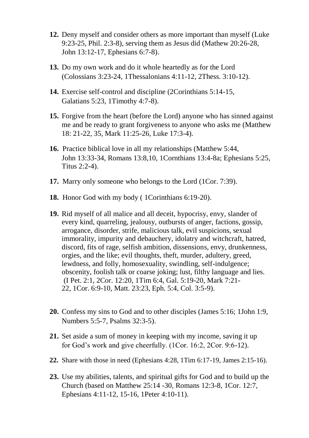- **12.** Deny myself and consider others as more important than myself (Luke 9:23-25, Phil. 2:3-8), serving them as Jesus did (Mathew 20:26-28, John 13:12-17, Ephesians 6:7-8).
- **13.** Do my own work and do it whole heartedly as for the Lord (Colossians 3:23-24, 1Thessalonians 4:11-12, 2Thess. 3:10-12).
- **14.** Exercise self-control and discipline (2Corinthians 5:14-15, Galatians 5:23, 1Timothy 4:7-8).
- **15.** Forgive from the heart (before the Lord) anyone who has sinned against me and be ready to grant forgiveness to anyone who asks me (Matthew 18: 21-22, 35, Mark 11:25-26, Luke 17:3-4).
- **16.** Practice biblical love in all my relationships (Matthew 5:44, John 13:33-34, Romans 13:8,10, 1Cornthians 13:4-8a; Ephesians 5:25, Titus 2:2-4).
- **17.** Marry only someone who belongs to the Lord (1Cor. 7:39).
- **18.** Honor God with my body ( 1Corinthians 6:19-20).
- **19.** Rid myself of all malice and all deceit, hypocrisy, envy, slander of every kind, quarreling, jealousy, outbursts of anger, factions, gossip, arrogance, disorder, strife, malicious talk, evil suspicions, sexual immorality, impurity and debauchery, idolatry and witchcraft, hatred, discord, fits of rage, selfish ambition, dissensions, envy, drunkenness, orgies, and the like; evil thoughts, theft, murder, adultery, greed, lewdness, and folly, homosexuality, swindling, self-indulgence; obscenity, foolish talk or coarse joking; lust, filthy language and lies. (I Pet. 2:1, 2Cor. 12:20, 1Tim 6:4, Gal. 5:19-20, Mark 7:21- 22, 1Cor. 6:9-10, Matt. 23:23, Eph. 5:4, Col. 3:5-9).
- **20.** Confess my sins to God and to other disciples (James 5:16; 1John 1:9, Numbers 5:5-7, Psalms 32:3-5).
- **21.** Set aside a sum of money in keeping with my income, saving it up for God's work and give cheerfully. (1Cor. 16:2, 2Cor. 9:6-12).
- **22.** Share with those in need (Ephesians 4:28, 1Tim 6:17-19, James 2:15-16).
- **23.** Use my abilities, talents, and spiritual gifts for God and to build up the Church (based on Matthew 25:14 -30, Romans 12:3-8, 1Cor. 12:7, Ephesians 4:11-12, 15-16, 1Peter 4:10-11).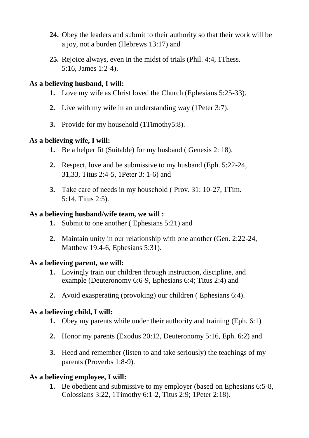- **24.** Obey the leaders and submit to their authority so that their work will be a joy, not a burden (Hebrews 13:17) and
- **25.** Rejoice always, even in the midst of trials (Phil. 4:4, 1Thess. 5:16, James 1:2-4).

#### **As a believing husband, I will:**

- **1.** Love my wife as Christ loved the Church (Ephesians 5:25-33).
- **2.** Live with my wife in an understanding way (1Peter 3:7).
- **3.** Provide for my household (1Timothy5:8).

# **As a believing wife, I will:**

- **1.** Be a helper fit (Suitable) for my husband ( Genesis 2: 18).
- **2.** Respect, love and be submissive to my husband (Eph. 5:22-24, 31,33, Titus 2:4-5, 1Peter 3: 1-6) and
- **3.** Take care of needs in my household ( Prov. 31: 10-27, 1Tim. 5:14, Titus 2:5).

## **As a believing husband/wife team, we will :**

- **1.** Submit to one another ( Ephesians 5:21) and
- **2.** Maintain unity in our relationship with one another (Gen. 2:22-24, Matthew 19:4-6, Ephesians 5:31).

#### **As a believing parent, we will:**

- **1.** Lovingly train our children through instruction, discipline, and example (Deuteronomy 6:6-9, Ephesians 6:4; Titus 2:4) and
- **2.** Avoid exasperating (provoking) our children ( Ephesians 6:4).

# **As a believing child, I will:**

- **1.** Obey my parents while under their authority and training (Eph. 6:1)
- **2.** Honor my parents (Exodus 20:12, Deuteronomy 5:16, Eph. 6:2) and
- **3.** Heed and remember (listen to and take seriously) the teachings of my parents (Proverbs 1:8-9).

# **As a believing employee, I will:**

**1.** Be obedient and submissive to my employer (based on Ephesians 6:5-8, Colossians 3:22, 1Timothy 6:1-2, Titus 2:9; 1Peter 2:18).